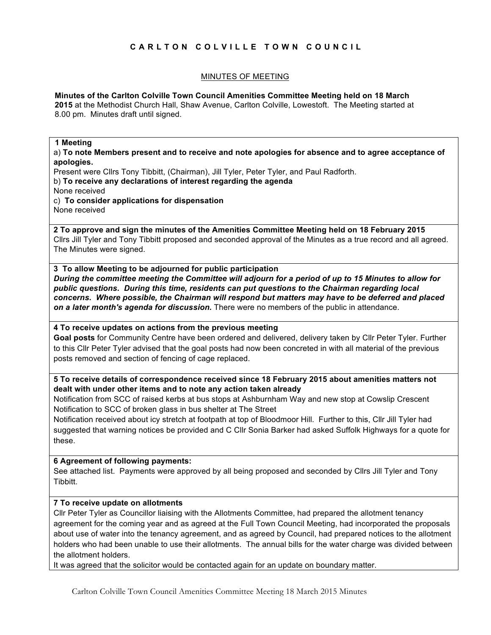# **CARLTON COLVILLE TOWN COUNCIL**

# MINUTES OF MEETING

## **Minutes of the Carlton Colville Town Council Amenities Committee Meeting held on 18 March**

**2015** at the Methodist Church Hall, Shaw Avenue, Carlton Colville, Lowestoft. The Meeting started at 8.00 pm. Minutes draft until signed.

#### **1 Meeting**

a) **To note Members present and to receive and note apologies for absence and to agree acceptance of apologies.**

Present were Cllrs Tony Tibbitt, (Chairman), Jill Tyler, Peter Tyler, and Paul Radforth.

b) **To receive any declarations of interest regarding the agenda**

None received

c) **To consider applications for dispensation**

None received

**2 To approve and sign the minutes of the Amenities Committee Meeting held on 18 February 2015** Cllrs Jill Tyler and Tony Tibbitt proposed and seconded approval of the Minutes as a true record and all agreed. The Minutes were signed.

**3 To allow Meeting to be adjourned for public participation** *During the committee meeting the Committee will adjourn for a period of up to 15 Minutes to allow for public questions. During this time, residents can put questions to the Chairman regarding local concerns. Where possible, the Chairman will respond but matters may have to be deferred and placed on a later month's agenda for discussion.* There were no members of the public in attendance.

**4 To receive updates on actions from the previous meeting** 

**Goal posts** for Community Centre have been ordered and delivered, delivery taken by Cllr Peter Tyler. Further to this Cllr Peter Tyler advised that the goal posts had now been concreted in with all material of the previous posts removed and section of fencing of cage replaced.

**5 To receive details of correspondence received since 18 February 2015 about amenities matters not dealt with under other items and to note any action taken already**

Notification from SCC of raised kerbs at bus stops at Ashburnham Way and new stop at Cowslip Crescent Notification to SCC of broken glass in bus shelter at The Street

Notification received about icy stretch at footpath at top of Bloodmoor Hill. Further to this, Cllr Jill Tyler had suggested that warning notices be provided and C Cllr Sonia Barker had asked Suffolk Highways for a quote for these.

### **6 Agreement of following payments:**

See attached list. Payments were approved by all being proposed and seconded by Cllrs Jill Tyler and Tony Tibbitt.

# **7 To receive update on allotments**

Cllr Peter Tyler as Councillor liaising with the Allotments Committee, had prepared the allotment tenancy agreement for the coming year and as agreed at the Full Town Council Meeting, had incorporated the proposals about use of water into the tenancy agreement, and as agreed by Council, had prepared notices to the allotment holders who had been unable to use their allotments. The annual bills for the water charge was divided between the allotment holders.

It was agreed that the solicitor would be contacted again for an update on boundary matter.